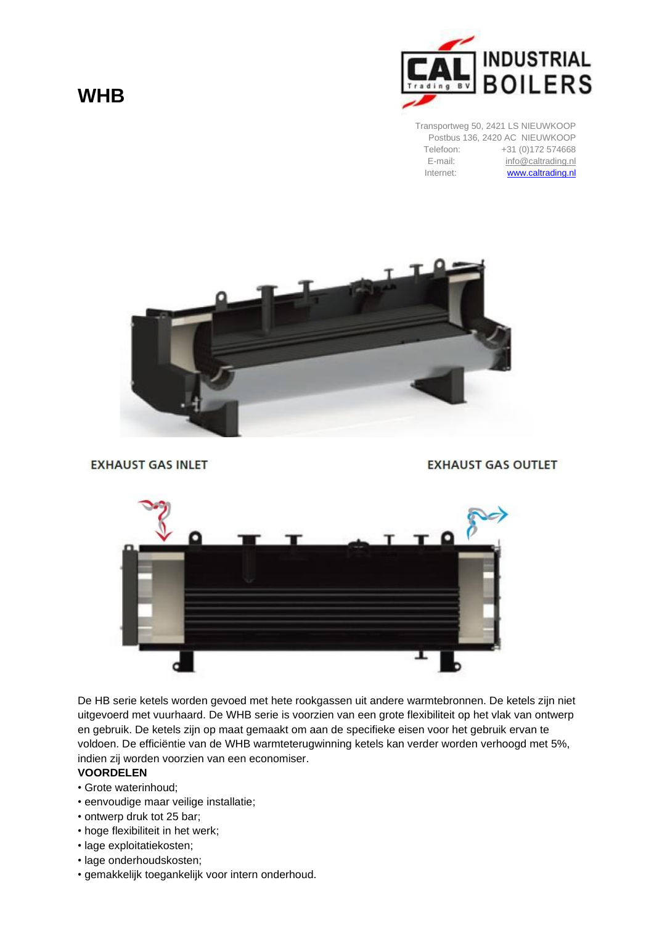## **WHB**



Transportweg 50, 2421 LS NIEUWKOOP Postbus 136, 2420 AC NIEUWKOOP Telefoon: +31 (0)172 574668<br>E-mail: info@caltrading.nl [info@caltrading.nl](mailto:info@caltrading.nl) Internet: **[www.caltrading.nl](http://www.caltrading.nl/)** 



**EXHAUST GAS INLET** 

**EXHAUST GAS OUTLET** 



De HB serie ketels worden gevoed met hete rookgassen uit andere warmtebronnen. De ketels zijn niet uitgevoerd met vuurhaard. De WHB serie is voorzien van een grote flexibiliteit op het vlak van ontwerp en gebruik. De ketels zijn op maat gemaakt om aan de specifieke eisen voor het gebruik ervan te voldoen. De efficiëntie van de WHB warmteterugwinning ketels kan verder worden verhoogd met 5%, indien zij worden voorzien van een economiser.

## **VOORDELEN**

- Grote waterinhoud;
- eenvoudige maar veilige installatie;
- ontwerp druk tot 25 bar;
- hoge flexibiliteit in het werk;
- lage exploitatiekosten;
- lage onderhoudskosten;
- gemakkelijk toegankelijk voor intern onderhoud.